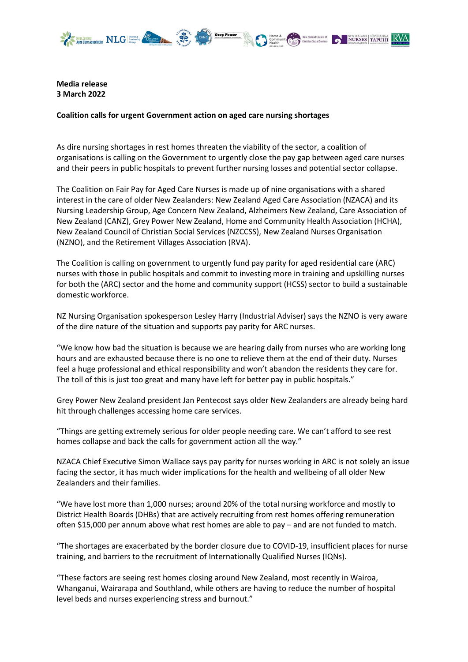

NURSES TAPUHI RVA

Media release 3 March 2022

## Coalition calls for urgent Government action on aged care nursing shortages

As dire nursing shortages in rest homes threaten the viability of the sector, a coalition of organisations is calling on the Government to urgently close the pay gap between aged care nurses and their peers in public hospitals to prevent further nursing losses and potential sector collapse.

The Coalition on Fair Pay for Aged Care Nurses is made up of nine organisations with a shared interest in the care of older New Zealanders: New Zealand Aged Care Association (NZACA) and its Nursing Leadership Group, Age Concern New Zealand, Alzheimers New Zealand, Care Association of New Zealand (CANZ), Grey Power New Zealand, Home and Community Health Association (HCHA), New Zealand Council of Christian Social Services (NZCCSS), New Zealand Nurses Organisation (NZNO), and the Retirement Villages Association (RVA).

The Coalition is calling on government to urgently fund pay parity for aged residential care (ARC) nurses with those in public hospitals and commit to investing more in training and upskilling nurses for both the (ARC) sector and the home and community support (HCSS) sector to build a sustainable domestic workforce.

NZ Nursing Organisation spokesperson Lesley Harry (Industrial Adviser) says the NZNO is very aware of the dire nature of the situation and supports pay parity for ARC nurses.

"We know how bad the situation is because we are hearing daily from nurses who are working long hours and are exhausted because there is no one to relieve them at the end of their duty. Nurses feel a huge professional and ethical responsibility and won't abandon the residents they care for. The toll of this is just too great and many have left for better pay in public hospitals."

Grey Power New Zealand president Jan Pentecost says older New Zealanders are already being hard hit through challenges accessing home care services.

"Things are getting extremely serious for older people needing care. We can't afford to see rest homes collapse and back the calls for government action all the way."

NZACA Chief Executive Simon Wallace says pay parity for nurses working in ARC is not solely an issue facing the sector, it has much wider implications for the health and wellbeing of all older New Zealanders and their families.

"We have lost more than 1,000 nurses; around 20% of the total nursing workforce and mostly to District Health Boards (DHBs) that are actively recruiting from rest homes offering remuneration often \$15,000 per annum above what rest homes are able to pay – and are not funded to match.

"The shortages are exacerbated by the border closure due to COVID-19, insufficient places for nurse training, and barriers to the recruitment of Internationally Qualified Nurses (IQNs).

"These factors are seeing rest homes closing around New Zealand, most recently in Wairoa, Whanganui, Wairarapa and Southland, while others are having to reduce the number of hospital level beds and nurses experiencing stress and burnout."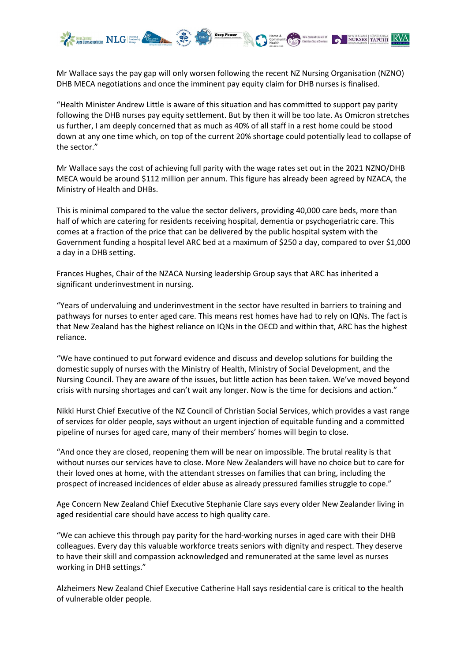

Mr Wallace says the pay gap will only worsen following the recent NZ Nursing Organisation (NZNO) DHB MECA negotiations and once the imminent pay equity claim for DHB nurses is finalised.

"Health Minister Andrew Little is aware of this situation and has committed to support pay parity following the DHB nurses pay equity settlement. But by then it will be too late. As Omicron stretches us further, I am deeply concerned that as much as 40% of all staff in a rest home could be stood down at any one time which, on top of the current 20% shortage could potentially lead to collapse of the sector."

Mr Wallace says the cost of achieving full parity with the wage rates set out in the 2021 NZNO/DHB MECA would be around \$112 million per annum. This figure has already been agreed by NZACA, the Ministry of Health and DHBs.

This is minimal compared to the value the sector delivers, providing 40,000 care beds, more than half of which are catering for residents receiving hospital, dementia or psychogeriatric care. This comes at a fraction of the price that can be delivered by the public hospital system with the Government funding a hospital level ARC bed at a maximum of \$250 a day, compared to over \$1,000 a day in a DHB setting.

Frances Hughes, Chair of the NZACA Nursing leadership Group says that ARC has inherited a significant underinvestment in nursing.

"Years of undervaluing and underinvestment in the sector have resulted in barriers to training and pathways for nurses to enter aged care. This means rest homes have had to rely on IQNs. The fact is that New Zealand has the highest reliance on IQNs in the OECD and within that, ARC has the highest reliance.

"We have continued to put forward evidence and discuss and develop solutions for building the domestic supply of nurses with the Ministry of Health, Ministry of Social Development, and the Nursing Council. They are aware of the issues, but little action has been taken. We've moved beyond crisis with nursing shortages and can't wait any longer. Now is the time for decisions and action."

Nikki Hurst Chief Executive of the NZ Council of Christian Social Services, which provides a vast range of services for older people, says without an urgent injection of equitable funding and a committed pipeline of nurses for aged care, many of their members' homes will begin to close.

"And once they are closed, reopening them will be near on impossible. The brutal reality is that without nurses our services have to close. More New Zealanders will have no choice but to care for their loved ones at home, with the attendant stresses on families that can bring, including the prospect of increased incidences of elder abuse as already pressured families struggle to cope."

Age Concern New Zealand Chief Executive Stephanie Clare says every older New Zealander living in aged residential care should have access to high quality care.

"We can achieve this through pay parity for the hard-working nurses in aged care with their DHB colleagues. Every day this valuable workforce treats seniors with dignity and respect. They deserve to have their skill and compassion acknowledged and remunerated at the same level as nurses working in DHB settings."

Alzheimers New Zealand Chief Executive Catherine Hall says residential care is critical to the health of vulnerable older people.